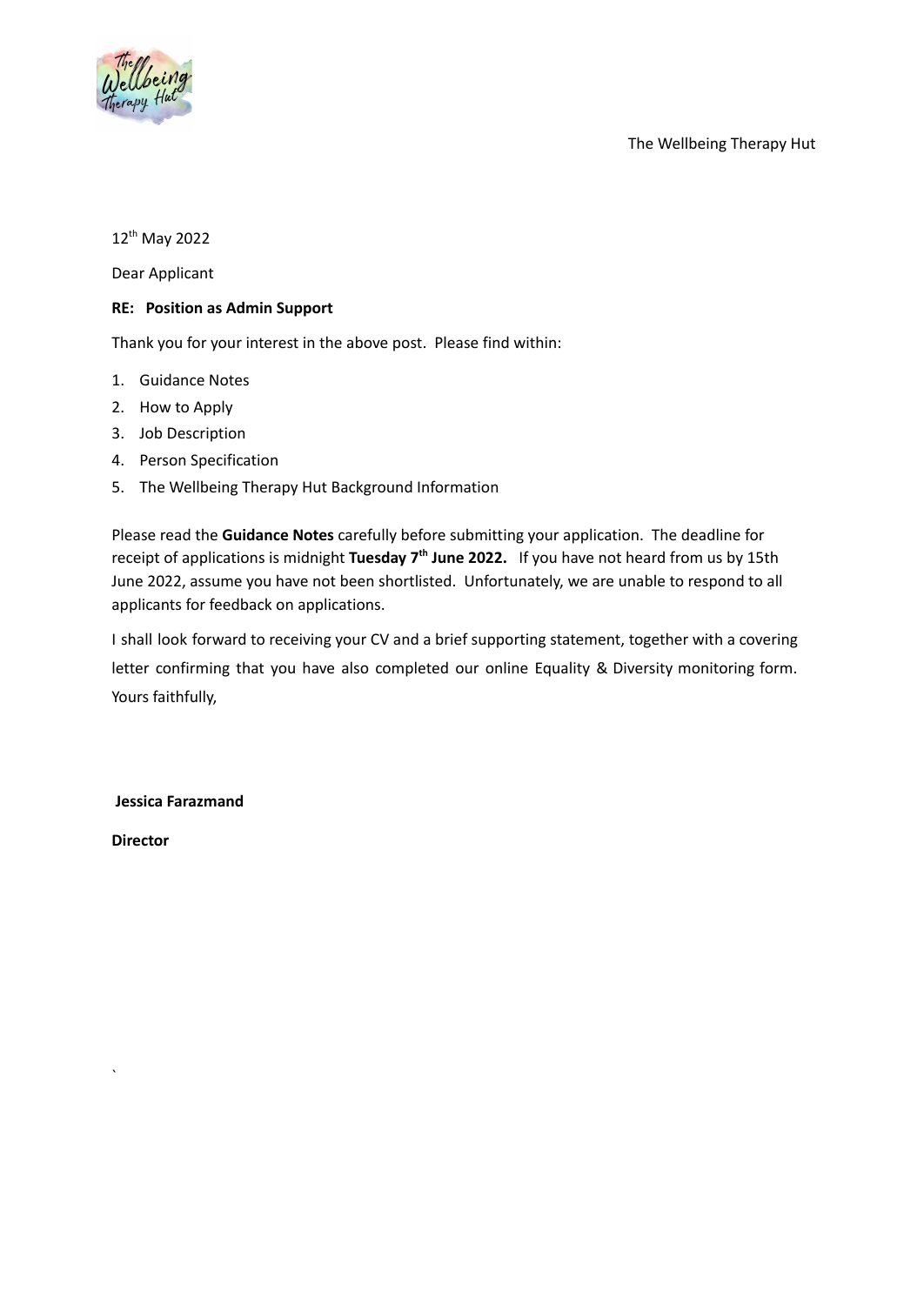

The Wellbeing Therapy Hut

12<sup>th</sup> May 2022

Dear Applicant

## **RE: Position as Admin Support**

Thank you for your interest in the above post. Please find within:

- 1. Guidance Notes
- 2. How to Apply
- 3. Job Description
- 4. Person Specification
- 5. The Wellbeing Therapy Hut Background Information

Please read the **Guidance Notes** carefully before submitting your application. The deadline for receipt of applications is midnight **Tuesday 7<sup>th</sup> June 2022.** If you have not heard from us by 15th June 2022, assume you have not been shortlisted. Unfortunately, we are unable to respond to all applicants for feedback on applications.

I shall look forward to receiving your CV and a brief supporting statement, together with a covering letter confirming that you have also completed our online Equality & Diversity monitoring form. Yours faithfully,

**Jessica Farazmand**

**Director**

`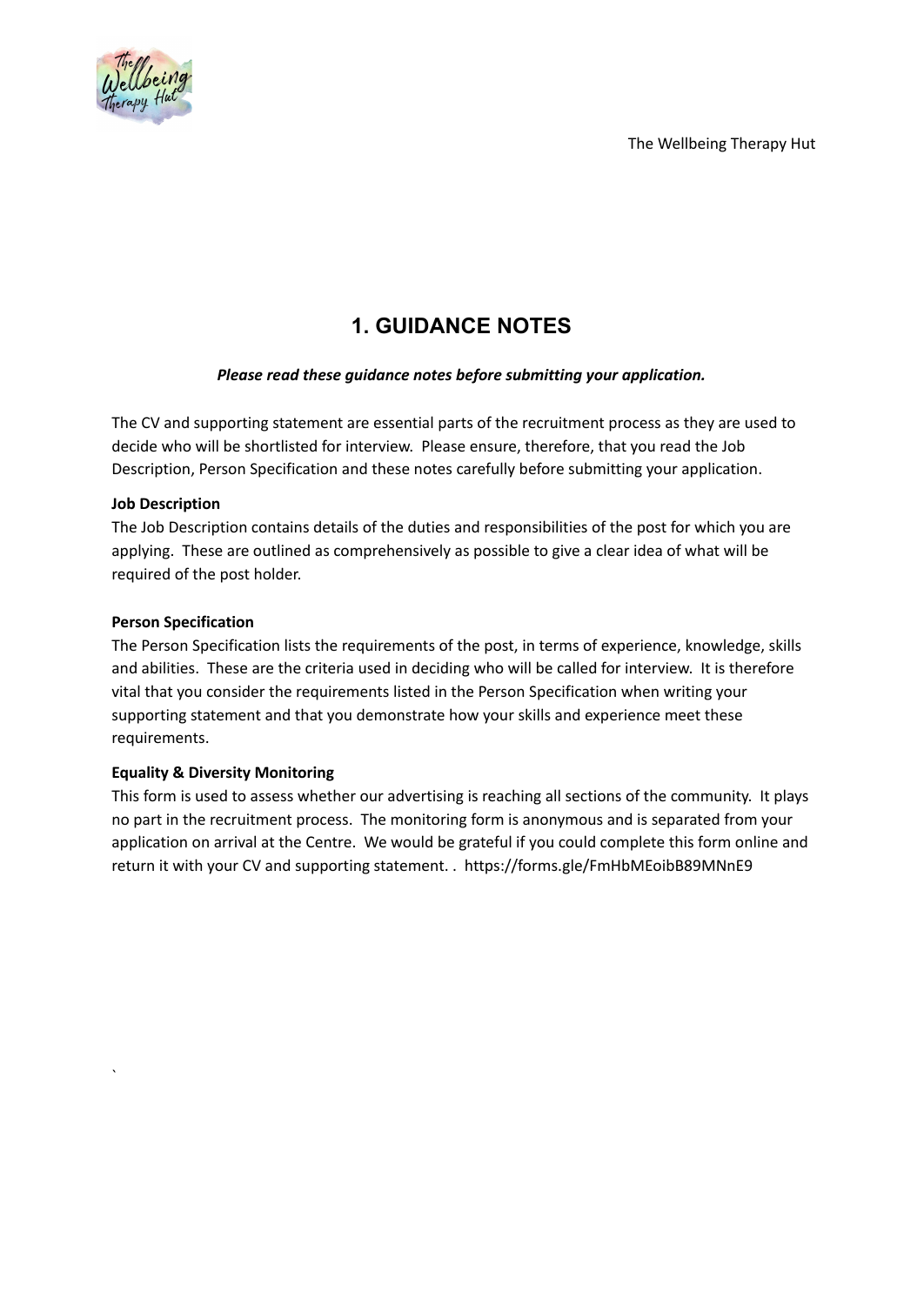The Wellbeing Therapy Hut



# **1. GUIDANCE NOTES**

# *Please read these guidance notes before submitting your application.*

The CV and supporting statement are essential parts of the recruitment process as they are used to decide who will be shortlisted for interview. Please ensure, therefore, that you read the Job Description, Person Specification and these notes carefully before submitting your application.

## **Job Description**

The Job Description contains details of the duties and responsibilities of the post for which you are applying. These are outlined as comprehensively as possible to give a clear idea of what will be required of the post holder.

## **Person Specification**

`

The Person Specification lists the requirements of the post, in terms of experience, knowledge, skills and abilities. These are the criteria used in deciding who will be called for interview. It is therefore vital that you consider the requirements listed in the Person Specification when writing your supporting statement and that you demonstrate how your skills and experience meet these requirements.

# **Equality & Diversity Monitoring**

This form is used to assess whether our advertising is reaching all sections of the community. It plays no part in the recruitment process. The monitoring form is anonymous and is separated from your application on arrival at the Centre. We would be grateful if you could complete this form online and return it with your CV and supporting statement. [.](https://forms.office.com/Pages/ResponsePage.aspx?id=M0dOp5wTT0q84PBToF_m6zv8ZkXTuoRBiTC3zxsj_1JUREhXTkdETUIxRjA3SklYUzlDVjRCOFNVSy4u) https://forms.gle/FmHbMEoibB89MNnE9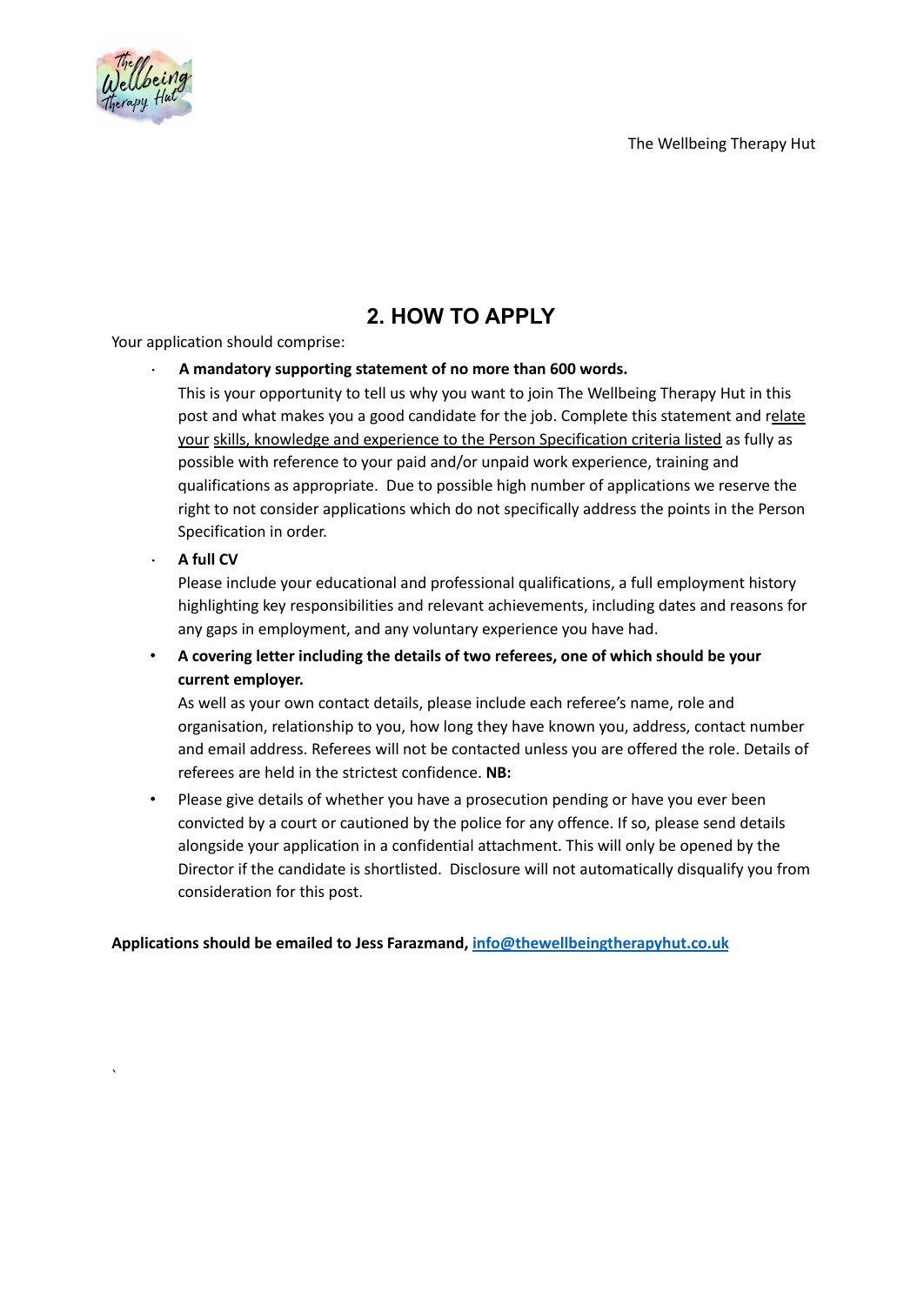



# **2. HOW TO APPLY**

Your application should comprise:

## • **A mandatory supporting statement of no more than 600 words.**

This is your opportunity to tell us why you want to join The Wellbeing Therapy Hut in this post and what makes you a good candidate for the job. Complete this statement and relate your skills, knowledge and experience to the Person Specification criteria listed as fully as possible with reference to your paid and/or unpaid work experience, training and qualifications as appropriate. Due to possible high number of applications we reserve the right to not consider applications which do not specifically address the points in the Person Specification in order.

## • **A full CV**

`

Please include your educational and professional qualifications, a full employment history highlighting key responsibilities and relevant achievements, including dates and reasons for any gaps in employment, and any voluntary experience you have had.

• **A covering letter including the details of two referees, one of which should be your current employer.**

As well as your own contact details, please include each referee's name, role and organisation, relationship to you, how long they have known you, address, contact number and email address. Referees will not be contacted unless you are offered the role. Details of referees are held in the strictest confidence. **NB:**

• Please give details of whether you have a prosecution pending or have you ever been convicted by a court or cautioned by the police for any offence. If so, please send details alongside your application in a confidential attachment. This will only be opened by the Director if the candidate is shortlisted. Disclosure will not automatically disqualify you from consideration for this post.

#### **Applications should be emailed to Jess Farazmand, [info@thewellbeingtherapyhut.co.uk](mailto:info@thewellbeingtherapyhut.co.uk)**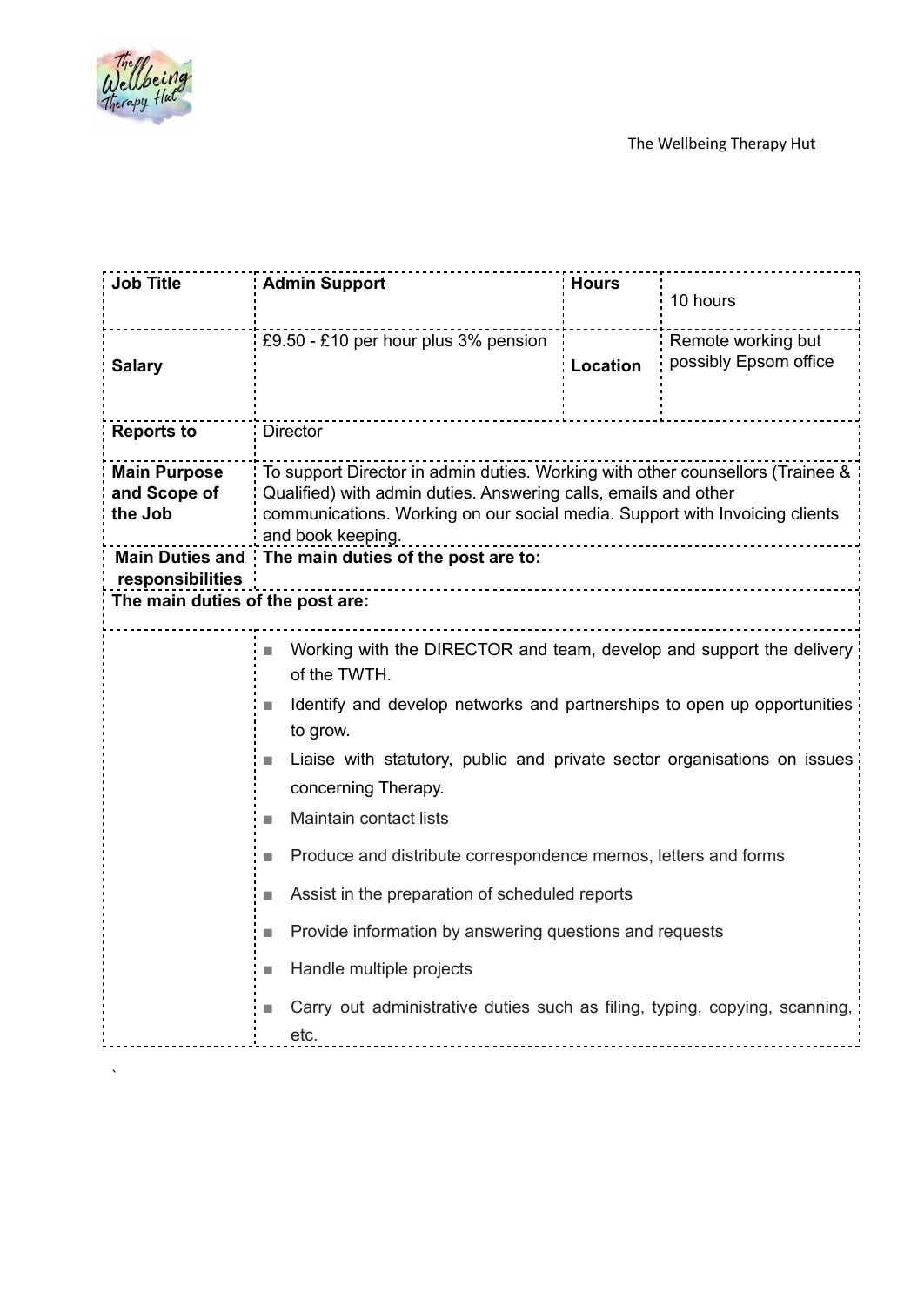

| <b>Job Title</b>                               | <b>Admin Support</b>                                                                                                                                                                                                                                  | <b>Hours</b> | 10 hours                                    |
|------------------------------------------------|-------------------------------------------------------------------------------------------------------------------------------------------------------------------------------------------------------------------------------------------------------|--------------|---------------------------------------------|
| <b>Salary</b>                                  | £9.50 - £10 per hour plus 3% pension                                                                                                                                                                                                                  | Location     | Remote working but<br>possibly Epsom office |
| <b>Reports to</b>                              | <b>Director</b>                                                                                                                                                                                                                                       |              |                                             |
| <b>Main Purpose</b><br>and Scope of<br>the Job | To support Director in admin duties. Working with other counsellors (Trainee &<br>Qualified) with admin duties. Answering calls, emails and other<br>communications. Working on our social media. Support with Invoicing clients<br>and book keeping. |              |                                             |
| <b>Main Duties and</b><br>responsibilities     | The main duties of the post are to:                                                                                                                                                                                                                   |              |                                             |
| The main duties of the post are:               |                                                                                                                                                                                                                                                       |              |                                             |
|                                                | Working with the DIRECTOR and team, develop and support the delivery<br><b>I</b><br>of the TWTH.                                                                                                                                                      |              |                                             |
|                                                | Identify and develop networks and partnerships to open up opportunities<br>to grow.                                                                                                                                                                   |              |                                             |
|                                                | Liaise with statutory, public and private sector organisations on issues<br>P.<br>concerning Therapy.                                                                                                                                                 |              |                                             |
|                                                | Maintain contact lists<br>n.                                                                                                                                                                                                                          |              |                                             |
|                                                | Produce and distribute correspondence memos, letters and forms                                                                                                                                                                                        |              |                                             |
|                                                | Assist in the preparation of scheduled reports<br>H                                                                                                                                                                                                   |              |                                             |
|                                                | Provide information by answering questions and requests                                                                                                                                                                                               |              |                                             |
|                                                | Handle multiple projects<br>F.                                                                                                                                                                                                                        |              |                                             |
|                                                | Carry out administrative duties such as filing, typing, copying, scanning,<br>E.<br>etc.                                                                                                                                                              |              |                                             |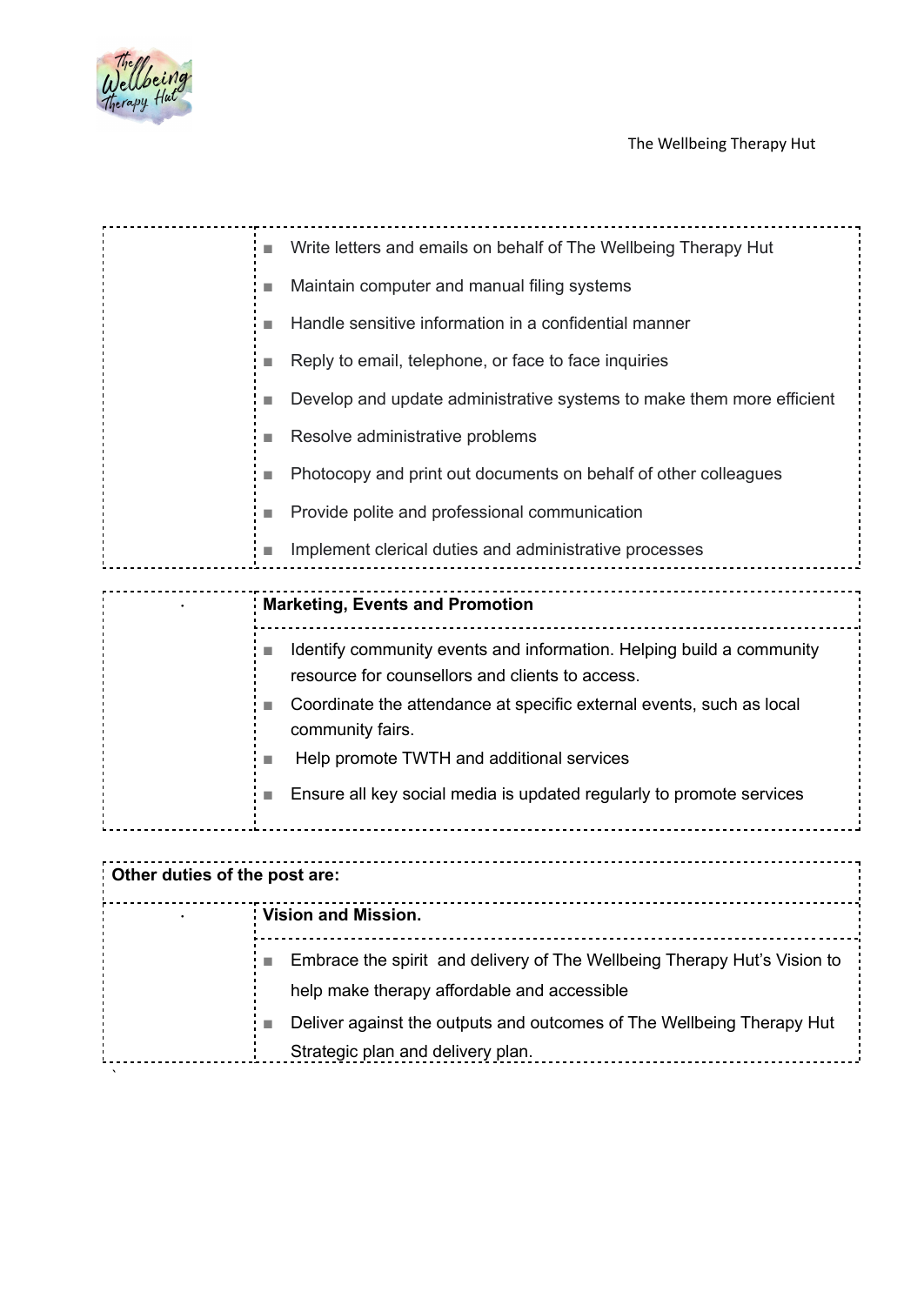

| ×  | Write letters and emails on behalf of The Wellbeing Therapy Hut                          |
|----|------------------------------------------------------------------------------------------|
| T. | Maintain computer and manual filing systems                                              |
|    | Handle sensitive information in a confidential manner                                    |
|    | Reply to email, telephone, or face to face inquiries                                     |
| F  | Develop and update administrative systems to make them more efficient                    |
|    | Resolve administrative problems                                                          |
|    | Photocopy and print out documents on behalf of other colleagues                          |
|    | Provide polite and professional communication                                            |
|    | Implement clerical duties and administrative processes                                   |
|    |                                                                                          |
|    | <b>Marketing, Events and Promotion</b>                                                   |
|    | Identify community events and information. Helping build a community                     |
|    | resource for counsellors and clients to access.                                          |
| T. | Coordinate the attendance at specific external events, such as local<br>community fairs. |
| П  | Help promote TWTH and additional services                                                |
| u. | Ensure all key social media is updated regularly to promote services                     |

| : Other duties of the post are: |                                                                                                                         |  |
|---------------------------------|-------------------------------------------------------------------------------------------------------------------------|--|
|                                 | <b>Vision and Mission.</b>                                                                                              |  |
|                                 | Embrace the spirit and delivery of The Wellbeing Therapy Hut's Vision to<br>help make therapy affordable and accessible |  |
|                                 | Deliver against the outputs and outcomes of The Wellbeing Therapy Hut<br>Strategic plan and delivery plan.              |  |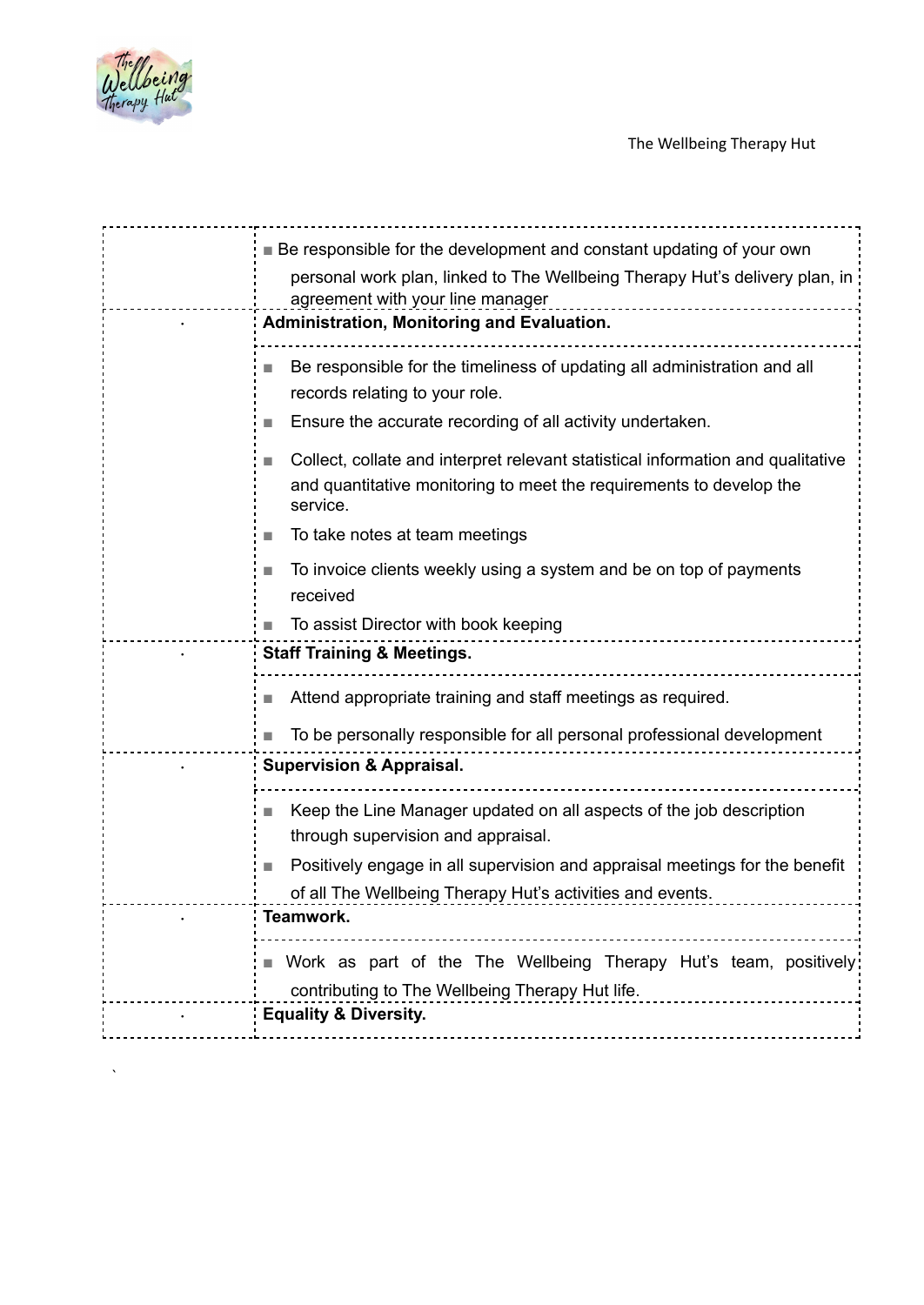

| ■ Be responsible for the development and constant updating of your own<br>personal work plan, linked to The Wellbeing Therapy Hut's delivery plan, in<br>agreement with your line manager                                                                   |  |
|-------------------------------------------------------------------------------------------------------------------------------------------------------------------------------------------------------------------------------------------------------------|--|
| Administration, Monitoring and Evaluation.                                                                                                                                                                                                                  |  |
| Be responsible for the timeliness of updating all administration and all<br>records relating to your role.                                                                                                                                                  |  |
| Ensure the accurate recording of all activity undertaken.                                                                                                                                                                                                   |  |
| Collect, collate and interpret relevant statistical information and qualitative<br>and quantitative monitoring to meet the requirements to develop the<br>service.                                                                                          |  |
| To take notes at team meetings<br>L.                                                                                                                                                                                                                        |  |
| To invoice clients weekly using a system and be on top of payments<br>received                                                                                                                                                                              |  |
| To assist Director with book keeping                                                                                                                                                                                                                        |  |
| <b>Staff Training &amp; Meetings.</b>                                                                                                                                                                                                                       |  |
| Attend appropriate training and staff meetings as required.                                                                                                                                                                                                 |  |
| To be personally responsible for all personal professional development                                                                                                                                                                                      |  |
| <b>Supervision &amp; Appraisal.</b>                                                                                                                                                                                                                         |  |
| Keep the Line Manager updated on all aspects of the job description<br>through supervision and appraisal.<br>Positively engage in all supervision and appraisal meetings for the benefit<br>T.<br>of all The Wellbeing Therapy Hut's activities and events. |  |
| Teamwork.                                                                                                                                                                                                                                                   |  |
| Work as part of the The Wellbeing Therapy Hut's team, positively<br>contributing to The Wellbeing Therapy Hut life.                                                                                                                                         |  |
| <b>Equality &amp; Diversity.</b>                                                                                                                                                                                                                            |  |
|                                                                                                                                                                                                                                                             |  |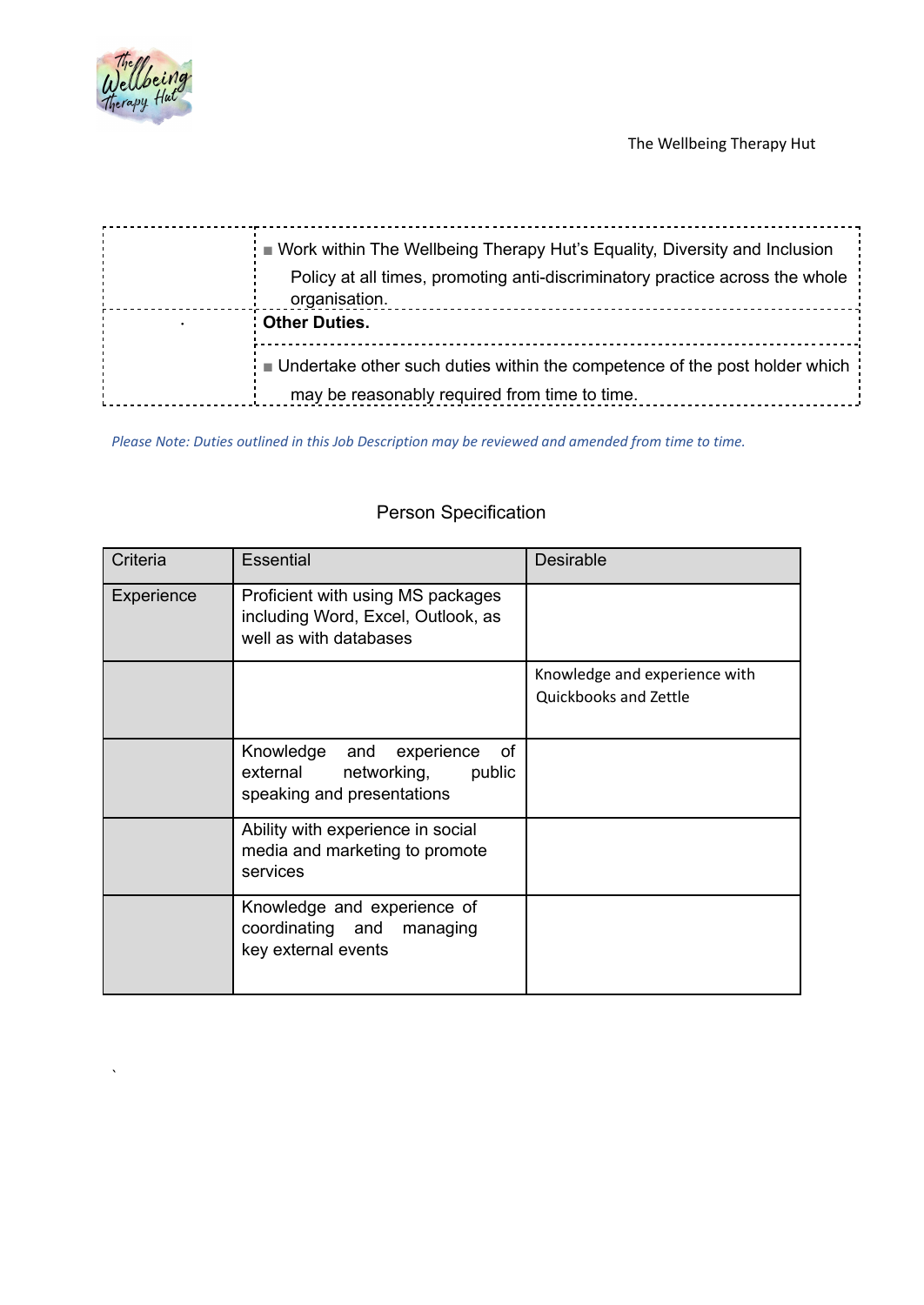

 $\ddot{\phantom{0}}$ 

The Wellbeing Therapy Hut

| ■ Work within The Wellbeing Therapy Hut's Equality, Diversity and Inclusion                   |  |
|-----------------------------------------------------------------------------------------------|--|
| Policy at all times, promoting anti-discriminatory practice across the whole<br>organisation. |  |
| <b>Other Duties.</b>                                                                          |  |
| ■ Undertake other such duties within the competence of the post holder which                  |  |
| may be reasonably required from time to time.                                                 |  |

*Please Note: Duties outlined in this Job Description may be reviewed and amended from time to time.*

| Criteria   | <b>Essential</b>                                                                                     | <b>Desirable</b>                                       |
|------------|------------------------------------------------------------------------------------------------------|--------------------------------------------------------|
| Experience | Proficient with using MS packages<br>including Word, Excel, Outlook, as<br>well as with databases    |                                                        |
|            |                                                                                                      | Knowledge and experience with<br>Quickbooks and Zettle |
|            | of<br>Knowledge<br>and experience<br>external<br>networking,<br>public<br>speaking and presentations |                                                        |
|            | Ability with experience in social<br>media and marketing to promote<br>services                      |                                                        |
|            | Knowledge and experience of<br>coordinating and<br>managing<br>key external events                   |                                                        |

# Person Specification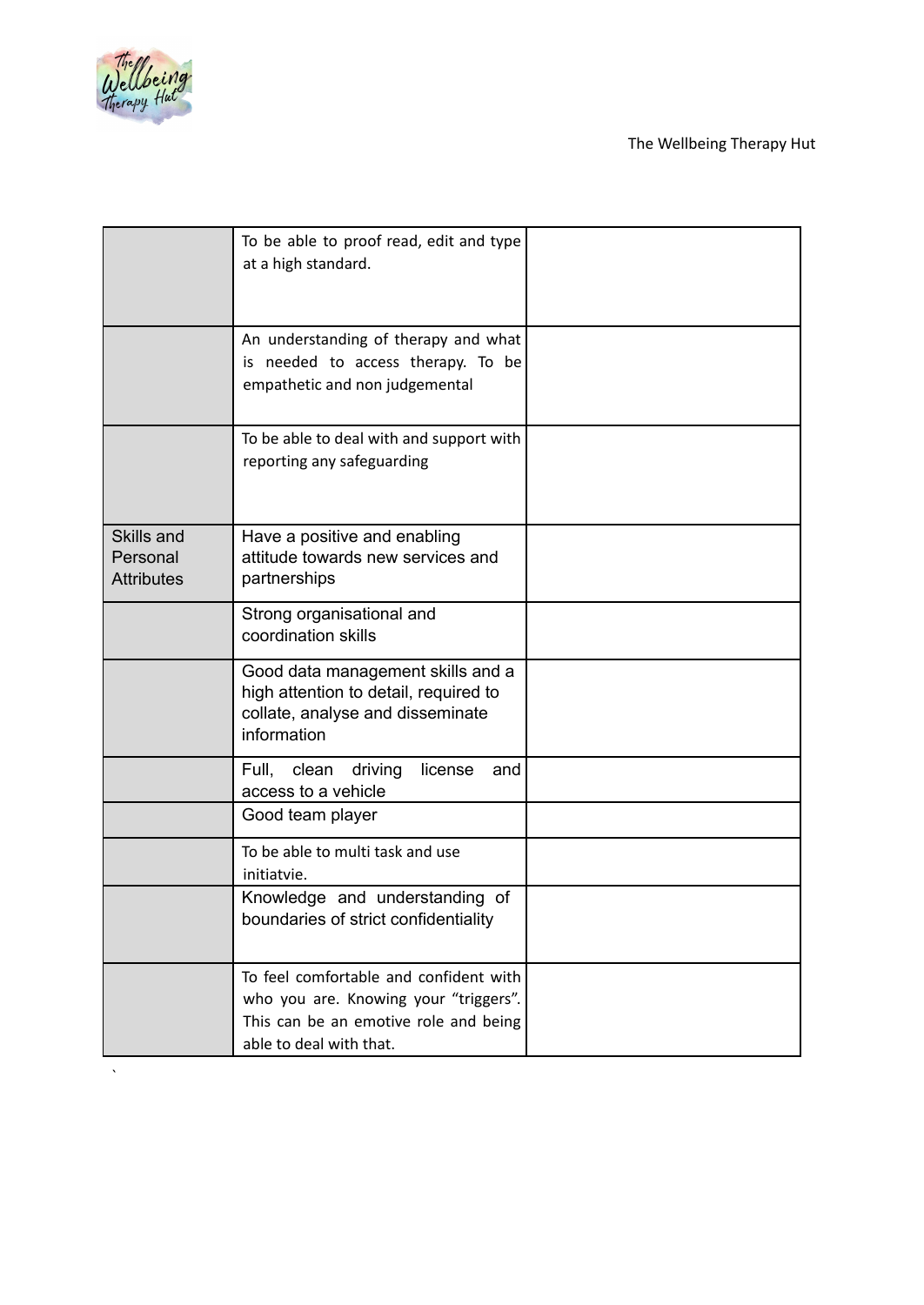

|                                             | To be able to proof read, edit and type<br>at a high standard.                                                                                      |  |
|---------------------------------------------|-----------------------------------------------------------------------------------------------------------------------------------------------------|--|
|                                             | An understanding of therapy and what<br>is needed to access therapy. To be<br>empathetic and non judgemental                                        |  |
|                                             | To be able to deal with and support with<br>reporting any safeguarding                                                                              |  |
| Skills and<br>Personal<br><b>Attributes</b> | Have a positive and enabling<br>attitude towards new services and<br>partnerships                                                                   |  |
|                                             | Strong organisational and<br>coordination skills                                                                                                    |  |
|                                             | Good data management skills and a<br>high attention to detail, required to<br>collate, analyse and disseminate<br>information                       |  |
|                                             | Full,<br>clean<br>license<br>driving<br>and<br>access to a vehicle                                                                                  |  |
|                                             | Good team player                                                                                                                                    |  |
|                                             | To be able to multi task and use<br>initiatvie.                                                                                                     |  |
|                                             | Knowledge and understanding of<br>boundaries of strict confidentiality                                                                              |  |
|                                             | To feel comfortable and confident with<br>who you are. Knowing your "triggers".<br>This can be an emotive role and being<br>able to deal with that. |  |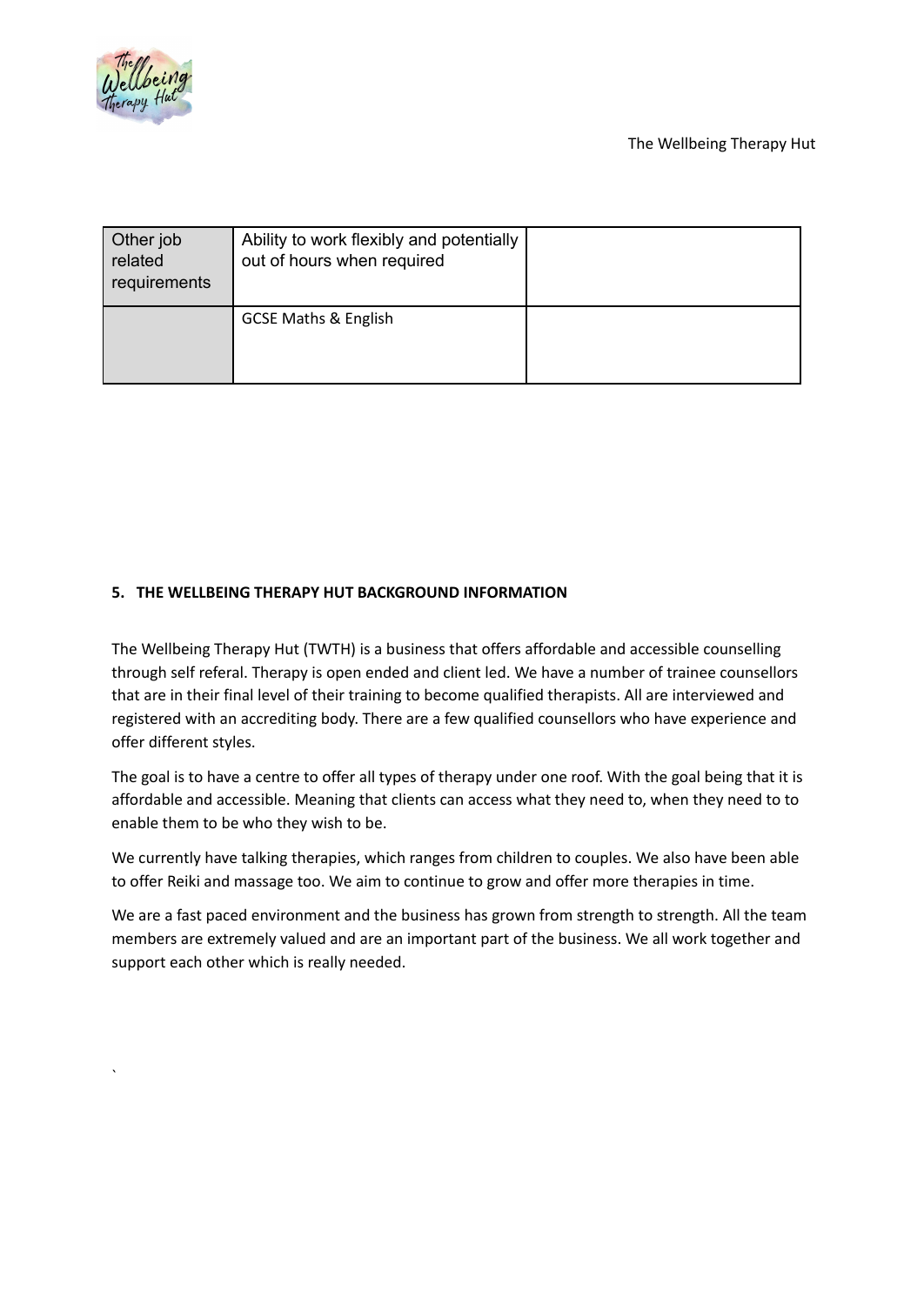

`

The Wellbeing Therapy Hut

| Other job<br>related<br>requirements | Ability to work flexibly and potentially<br>out of hours when required |  |
|--------------------------------------|------------------------------------------------------------------------|--|
|                                      | <b>GCSE Maths &amp; English</b>                                        |  |

# **5. THE WELLBEING THERAPY HUT BACKGROUND INFORMATION**

The Wellbeing Therapy Hut (TWTH) is a business that offers affordable and accessible counselling through self referal. Therapy is open ended and client led. We have a number of trainee counsellors that are in their final level of their training to become qualified therapists. All are interviewed and registered with an accrediting body. There are a few qualified counsellors who have experience and offer different styles.

The goal is to have a centre to offer all types of therapy under one roof. With the goal being that it is affordable and accessible. Meaning that clients can access what they need to, when they need to to enable them to be who they wish to be.

We currently have talking therapies, which ranges from children to couples. We also have been able to offer Reiki and massage too. We aim to continue to grow and offer more therapies in time.

We are a fast paced environment and the business has grown from strength to strength. All the team members are extremely valued and are an important part of the business. We all work together and support each other which is really needed.